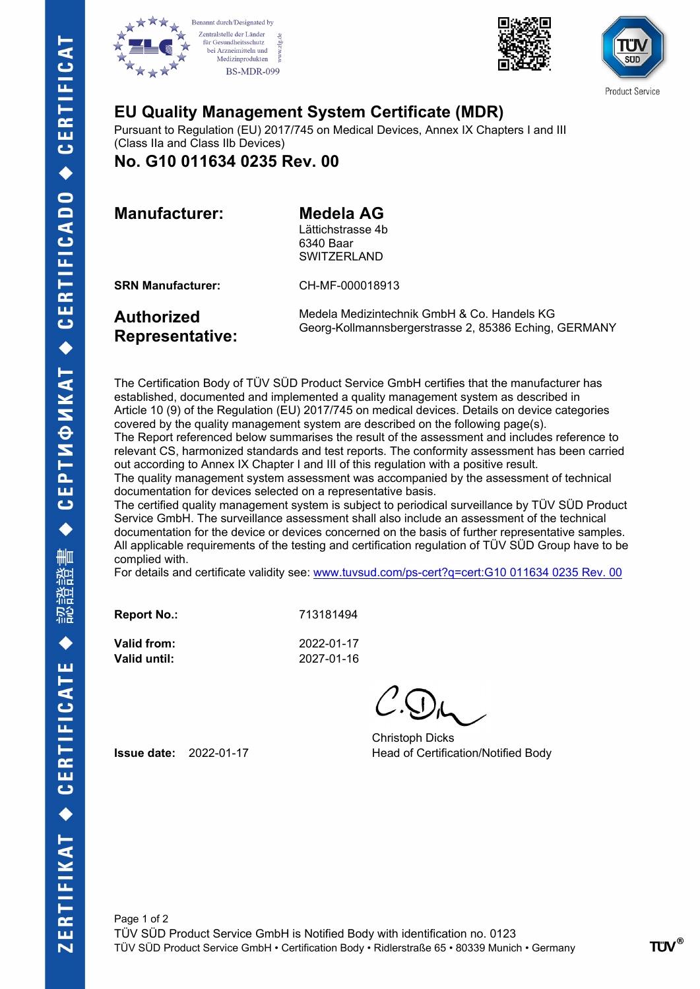







## **EU Quality Management System Certificate (MDR)**

Pursuant to Regulation (EU) 2017/745 on Medical Devices, Annex IX Chapters I and III (Class IIa and Class IIb Devices)

**No. G10 011634 0235 Rev. 00**

| <b>Manufacturer:</b> |  |
|----------------------|--|
|----------------------|--|

**Medela AG** Lättichstrasse 4b 6340 Baar **SWITZERLAND** 

**SRN Manufacturer:** CH-MF-000018913

**Representative:**

**Authorized**

Medela Medizintechnik GmbH & Co. Handels KG Georg-Kollmannsbergerstrasse 2, 85386 Eching, GERMANY

The Certification Body of TÜV SÜD Product Service GmbH certifies that the manufacturer has established, documented and implemented a quality management system as described in Article 10 (9) of the Regulation (EU) 2017/745 on medical devices. Details on device categories covered by the quality management system are described on the following page(s). The Report referenced below summarises the result of the assessment and includes reference to relevant CS, harmonized standards and test reports. The conformity assessment has been carried out according to Annex IX Chapter I and III of this regulation with a positive result.

The quality management system assessment was accompanied by the assessment of technical documentation for devices selected on a representative basis.

The certified quality management system is subject to periodical surveillance by TÜV SÜD Product Service GmbH. The surveillance assessment shall also include an assessment of the technical documentation for the device or devices concerned on the basis of further representative samples. All applicable requirements of the testing and certification regulation of TÜV SÜD Group have to be complied with.

For details and certificate validity see: [www.tuvsud.com/ps-cert?q=cert:G10 011634 0235 Rev. 00](http://www.tuvsud.com/ps-cert?q=cert:G10%20011634%200235%20Rev.%2000) 

**Report No.:** 713181494

**Valid from:** 2022-01-17 **Valid until:** 2027-01-16

Christoph Dicks **Issue date:** 2022-01-17 **Head of Certification/Notified Body**